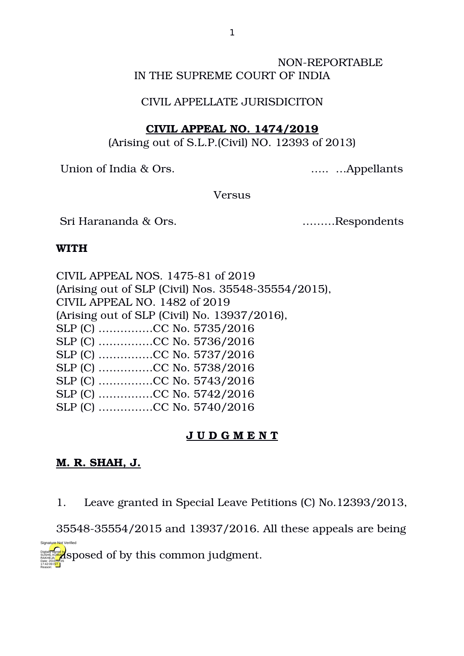### NON-REPORTABLE IN THE SUPREME COURT OF INDIA

#### CIVIL APPELLATE JURISDICITON

### **CIVIL APPEAL NO. 1474/2019**

(Arising out of S.L.P.(Civil) NO. 12393 of 2013)

Union of India & Ors. ….. …Appellants

Versus

Sri Harananda & Ors. ………Respondents

### **WITH**

| CIVIL APPEAL NOS. 1475-81 of 2019                   |
|-----------------------------------------------------|
| (Arising out of SLP (Civil) Nos. 35548-35554/2015), |
| CIVIL APPEAL NO. 1482 of 2019                       |
| (Arising out of SLP (Civil) No. 13937/2016),        |
| SLP (C) CC No. 5735/2016                            |
|                                                     |
|                                                     |
|                                                     |
|                                                     |
| SLP (C) CC No. 5742/2016                            |
|                                                     |
|                                                     |

# **J U D G M E N T**

# **M. R. SHAH, J.**

Reason:

Signature Not Verified

1. Leave granted in Special Leave Petitions (C) No.12393/2013,

3554835554/2015 and 13937/2016. All these appeals are being

digital **signed of by this common judgment.** RAKHEJA 17:42:09 IST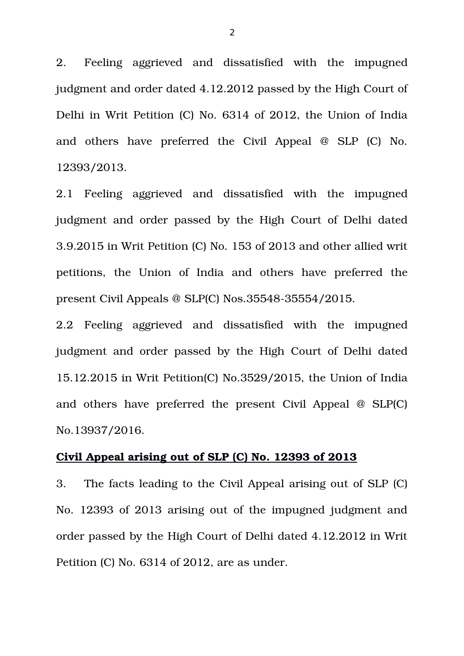2. Feeling aggrieved and dissatisfied with the impugned judgment and order dated 4.12.2012 passed by the High Court of Delhi in Writ Petition (C) No. 6314 of 2012, the Union of India and others have preferred the Civil Appeal  $@$  SLP  $(C)$  No. 12393/2013.

2.1 Feeling aggrieved and dissatisfied with the impugned judgment and order passed by the High Court of Delhi dated 3.9.2015 in Writ Petition (C) No. 153 of 2013 and other allied writ petitions, the Union of India and others have preferred the present Civil Appeals  $\omega$  SLP(C) Nos.35548-35554/2015.

2.2 Feeling aggrieved and dissatisfied with the impugned judgment and order passed by the High Court of Delhi dated 15.12.2015 in Writ Petition(C) No.3529/2015, the Union of India and others have preferred the present Civil Appeal  $\omega$  SLP(C) No.13937/2016.

#### **Civil Appeal arising out of SLP (C) No. 12393 of 2013**

3. The facts leading to the Civil Appeal arising out of SLP (C) No. 12393 of 2013 arising out of the impugned judgment and order passed by the High Court of Delhi dated 4.12.2012 in Writ Petition (C) No. 6314 of 2012, are as under.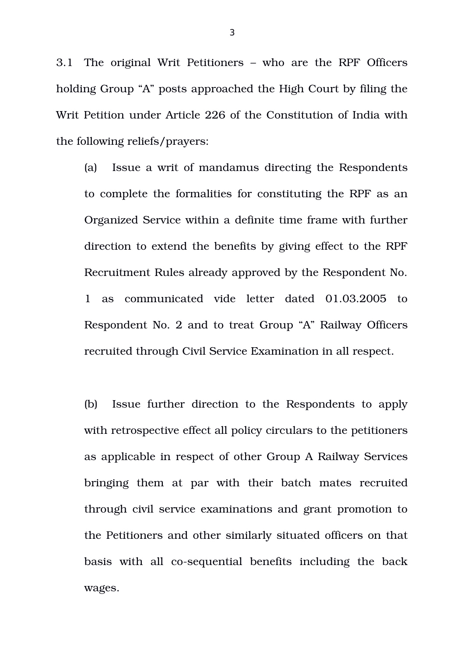3.1 The original Writ Petitioners – who are the RPF Officers holding Group "A" posts approached the High Court by filing the Writ Petition under Article 226 of the Constitution of India with the following reliefs/prayers:

(a) Issue a writ of mandamus directing the Respondents to complete the formalities for constituting the RPF as an Organized Service within a definite time frame with further direction to extend the benefits by giving effect to the RPF Recruitment Rules already approved by the Respondent No. 1 as communicated vide letter dated 01.03.2005 to Respondent No. 2 and to treat Group "A" Railway Officers recruited through Civil Service Examination in all respect.

(b) Issue further direction to the Respondents to apply with retrospective effect all policy circulars to the petitioners as applicable in respect of other Group A Railway Services bringing them at par with their batch mates recruited through civil service examinations and grant promotion to the Petitioners and other similarly situated officers on that basis with all co-sequential benefits including the back wages.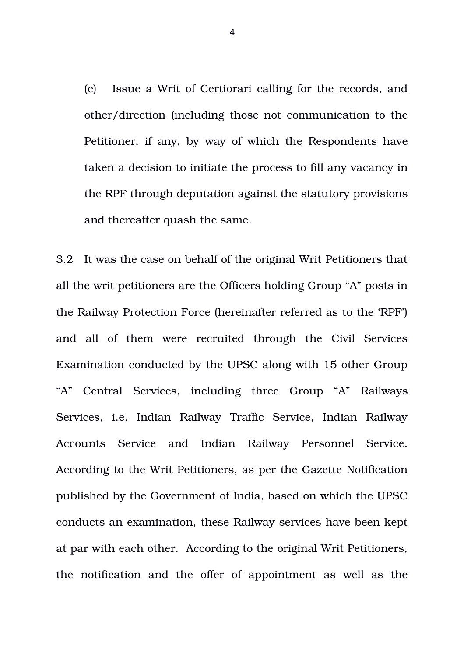(c) Issue a Writ of Certiorari calling for the records, and other/direction (including those not communication to the Petitioner, if any, by way of which the Respondents have taken a decision to initiate the process to fill any vacancy in the RPF through deputation against the statutory provisions and thereafter quash the same.

3.2 It was the case on behalf of the original Writ Petitioners that all the writ petitioners are the Officers holding Group "A" posts in the Railway Protection Force (hereinafter referred as to the 'RPF') and all of them were recruited through the Civil Services Examination conducted by the UPSC along with 15 other Group "A" Central Services, including three Group "A" Railways Services, i.e. Indian Railway Traffic Service, Indian Railway Accounts Service and Indian Railway Personnel Service. According to the Writ Petitioners, as per the Gazette Notification published by the Government of India, based on which the UPSC conducts an examination, these Railway services have been kept at par with each other. According to the original Writ Petitioners, the notification and the offer of appointment as well as the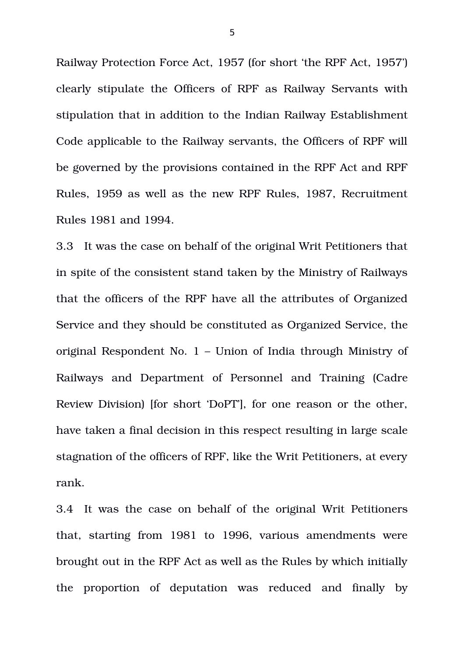Railway Protection Force Act, 1957 (for short 'the RPF Act, 1957') clearly stipulate the Officers of RPF as Railway Servants with stipulation that in addition to the Indian Railway Establishment Code applicable to the Railway servants, the Officers of RPF will be governed by the provisions contained in the RPF Act and RPF Rules, 1959 as well as the new RPF Rules, 1987, Recruitment Rules 1981 and 1994.

3.3 It was the case on behalf of the original Writ Petitioners that in spite of the consistent stand taken by the Ministry of Railways that the officers of the RPF have all the attributes of Organized Service and they should be constituted as Organized Service, the original Respondent No. 1 – Union of India through Ministry of Railways and Department of Personnel and Training (Cadre Review Division) [for short 'DoPT'], for one reason or the other, have taken a final decision in this respect resulting in large scale stagnation of the officers of RPF, like the Writ Petitioners, at every rank.

3.4 It was the case on behalf of the original Writ Petitioners that, starting from 1981 to 1996, various amendments were brought out in the RPF Act as well as the Rules by which initially the proportion of deputation was reduced and finally by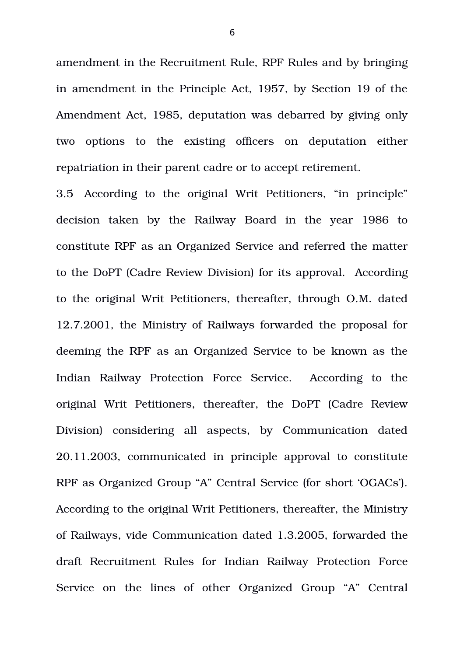amendment in the Recruitment Rule, RPF Rules and by bringing in amendment in the Principle Act, 1957, by Section 19 of the Amendment Act, 1985, deputation was debarred by giving only two options to the existing officers on deputation either repatriation in their parent cadre or to accept retirement.

3.5 According to the original Writ Petitioners, "in principle" decision taken by the Railway Board in the year 1986 to constitute RPF as an Organized Service and referred the matter to the DoPT (Cadre Review Division) for its approval. According to the original Writ Petitioners, thereafter, through O.M. dated 12.7.2001, the Ministry of Railways forwarded the proposal for deeming the RPF as an Organized Service to be known as the Indian Railway Protection Force Service. According to the original Writ Petitioners, thereafter, the DoPT (Cadre Review Division) considering all aspects, by Communication dated 20.11.2003, communicated in principle approval to constitute RPF as Organized Group "A" Central Service (for short 'OGACs'). According to the original Writ Petitioners, thereafter, the Ministry of Railways, vide Communication dated 1.3.2005, forwarded the draft Recruitment Rules for Indian Railway Protection Force Service on the lines of other Organized Group "A" Central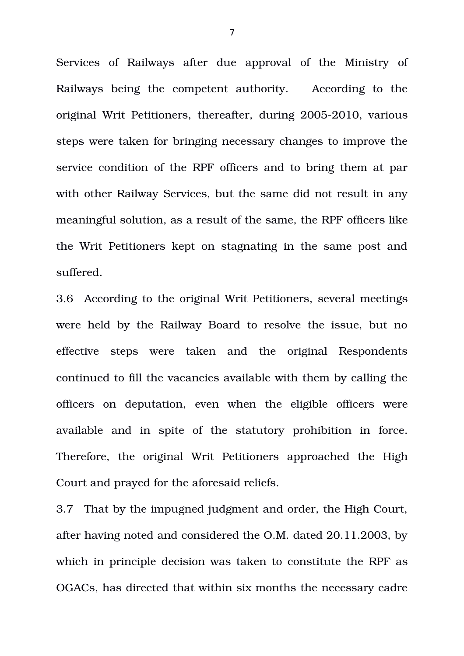Services of Railways after due approval of the Ministry of Railways being the competent authority. According to the original Writ Petitioners, thereafter, during 2005-2010, various steps were taken for bringing necessary changes to improve the service condition of the RPF officers and to bring them at par with other Railway Services, but the same did not result in any meaningful solution, as a result of the same, the RPF officers like the Writ Petitioners kept on stagnating in the same post and suffered.

3.6 According to the original Writ Petitioners, several meetings were held by the Railway Board to resolve the issue, but no effective steps were taken and the original Respondents continued to fill the vacancies available with them by calling the officers on deputation, even when the eligible officers were available and in spite of the statutory prohibition in force. Therefore, the original Writ Petitioners approached the High Court and prayed for the aforesaid reliefs.

3.7 That by the impugned judgment and order, the High Court, after having noted and considered the O.M. dated 20.11.2003, by which in principle decision was taken to constitute the RPF as OGACs, has directed that within six months the necessary cadre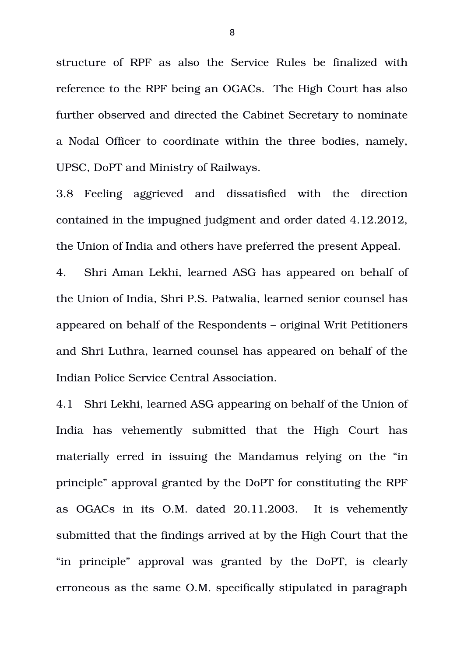structure of RPF as also the Service Rules be finalized with reference to the RPF being an OGACs. The High Court has also further observed and directed the Cabinet Secretary to nominate a Nodal Officer to coordinate within the three bodies, namely, UPSC, DoPT and Ministry of Railways.

3.8 Feeling aggrieved and dissatisfied with the direction contained in the impugned judgment and order dated 4.12.2012, the Union of India and others have preferred the present Appeal.

4. Shri Aman Lekhi, learned ASG has appeared on behalf of the Union of India, Shri P.S. Patwalia, learned senior counsel has appeared on behalf of the Respondents – original Writ Petitioners and Shri Luthra, learned counsel has appeared on behalf of the Indian Police Service Central Association.

4.1 Shri Lekhi, learned ASG appearing on behalf of the Union of India has vehemently submitted that the High Court has materially erred in issuing the Mandamus relying on the "in principle" approval granted by the DoPT for constituting the RPF as OGACs in its O.M. dated 20.11.2003. It is vehemently submitted that the findings arrived at by the High Court that the "in principle" approval was granted by the DoPT, is clearly erroneous as the same O.M. specifically stipulated in paragraph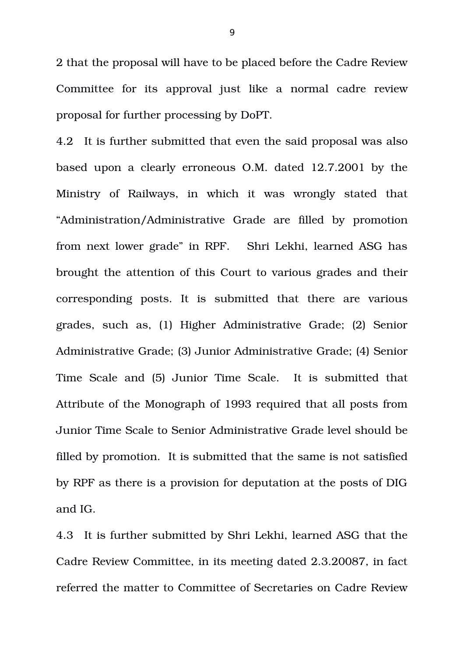2 that the proposal will have to be placed before the Cadre Review Committee for its approval just like a normal cadre review proposal for further processing by DoPT.

4.2 It is further submitted that even the said proposal was also based upon a clearly erroneous O.M. dated 12.7.2001 by the Ministry of Railways, in which it was wrongly stated that "Administration/Administrative Grade are filled by promotion from next lower grade" in RPF. Shri Lekhi, learned ASG has brought the attention of this Court to various grades and their corresponding posts. It is submitted that there are various grades, such as, (1) Higher Administrative Grade; (2) Senior Administrative Grade; (3) Junior Administrative Grade; (4) Senior Time Scale and (5) Junior Time Scale. It is submitted that Attribute of the Monograph of 1993 required that all posts from Junior Time Scale to Senior Administrative Grade level should be filled by promotion. It is submitted that the same is not satisfied by RPF as there is a provision for deputation at the posts of DIG and IG.

4.3 It is further submitted by Shri Lekhi, learned ASG that the Cadre Review Committee, in its meeting dated 2.3.20087, in fact referred the matter to Committee of Secretaries on Cadre Review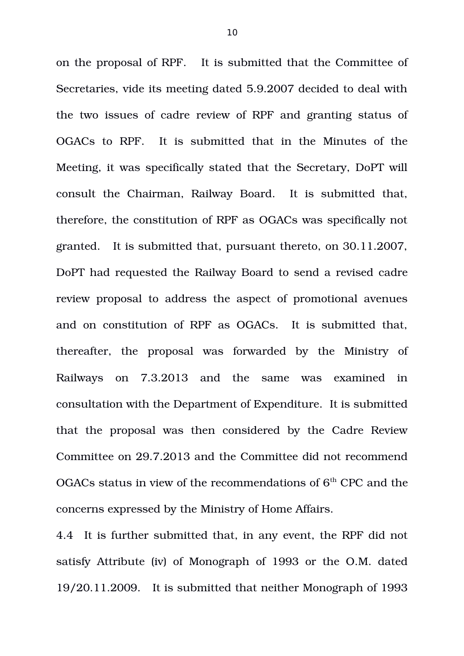on the proposal of RPF. It is submitted that the Committee of Secretaries, vide its meeting dated 5.9.2007 decided to deal with the two issues of cadre review of RPF and granting status of OGACs to RPF. It is submitted that in the Minutes of the Meeting, it was specifically stated that the Secretary, DoPT will consult the Chairman, Railway Board. It is submitted that, therefore, the constitution of RPF as OGACs was specifically not granted. It is submitted that, pursuant thereto, on 30.11.2007, DoPT had requested the Railway Board to send a revised cadre review proposal to address the aspect of promotional avenues and on constitution of RPF as OGACs. It is submitted that, thereafter, the proposal was forwarded by the Ministry of Railways on 7.3.2013 and the same was examined in consultation with the Department of Expenditure. It is submitted that the proposal was then considered by the Cadre Review Committee on 29.7.2013 and the Committee did not recommend OGACs status in view of the recommendations of  $6<sup>th</sup>$  CPC and the concerns expressed by the Ministry of Home Affairs.

4.4 It is further submitted that, in any event, the RPF did not satisfy Attribute (iv) of Monograph of 1993 or the O.M. dated 19/20.11.2009. It is submitted that neither Monograph of 1993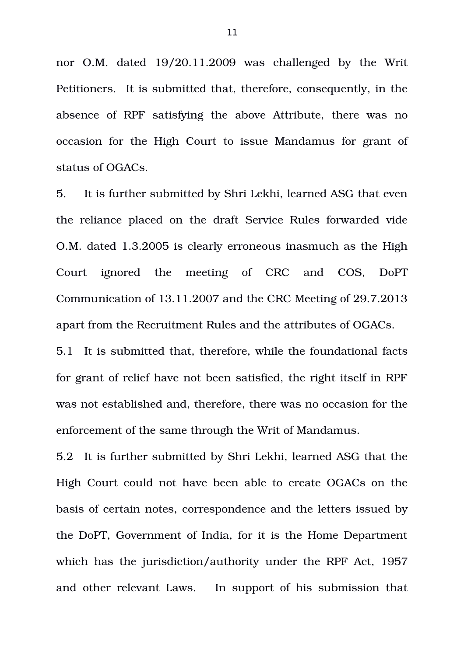nor O.M. dated  $19/20.11.2009$  was challenged by the Writ Petitioners. It is submitted that, therefore, consequently, in the absence of RPF satisfying the above Attribute, there was no occasion for the High Court to issue Mandamus for grant of status of OGACs.

5. It is further submitted by Shri Lekhi, learned ASG that even the reliance placed on the draft Service Rules forwarded vide O.M. dated 1.3.2005 is clearly erroneous inasmuch as the High Court ignored the meeting of CRC and COS, DoPT Communication of 13.11.2007 and the CRC Meeting of 29.7.2013 apart from the Recruitment Rules and the attributes of OGACs.

5.1 It is submitted that, therefore, while the foundational facts for grant of relief have not been satisfied, the right itself in RPF was not established and, therefore, there was no occasion for the enforcement of the same through the Writ of Mandamus.

5.2 It is further submitted by Shri Lekhi, learned ASG that the High Court could not have been able to create OGACs on the basis of certain notes, correspondence and the letters issued by the DoPT, Government of India, for it is the Home Department which has the jurisdiction/authority under the RPF Act, 1957 and other relevant Laws. In support of his submission that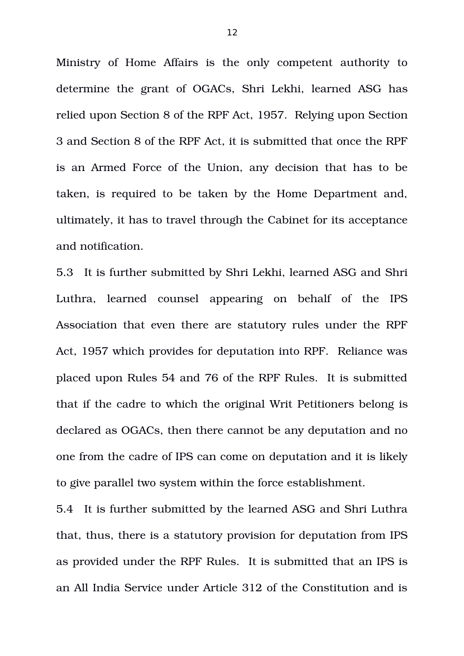Ministry of Home Affairs is the only competent authority to determine the grant of OGACs, Shri Lekhi, learned ASG has relied upon Section 8 of the RPF Act, 1957. Relying upon Section 3 and Section 8 of the RPF Act, it is submitted that once the RPF is an Armed Force of the Union, any decision that has to be taken, is required to be taken by the Home Department and, ultimately, it has to travel through the Cabinet for its acceptance and notification.

5.3 It is further submitted by Shri Lekhi, learned ASG and Shri Luthra, learned counsel appearing on behalf of the IPS Association that even there are statutory rules under the RPF Act, 1957 which provides for deputation into RPF. Reliance was placed upon Rules 54 and 76 of the RPF Rules. It is submitted that if the cadre to which the original Writ Petitioners belong is declared as OGACs, then there cannot be any deputation and no one from the cadre of IPS can come on deputation and it is likely to give parallel two system within the force establishment.

5.4 It is further submitted by the learned ASG and Shri Luthra that, thus, there is a statutory provision for deputation from IPS as provided under the RPF Rules. It is submitted that an IPS is an All India Service under Article 312 of the Constitution and is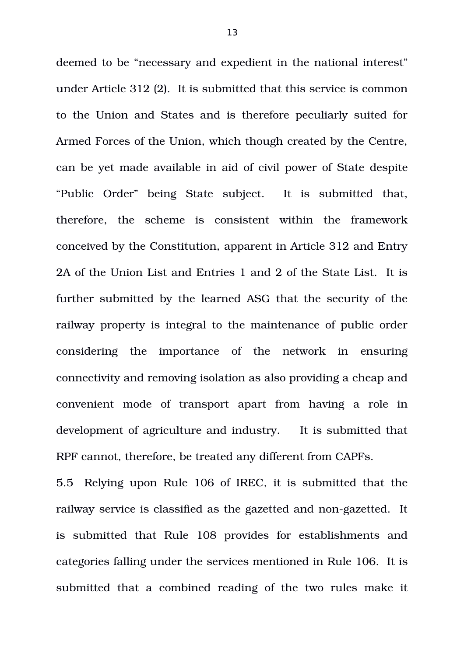deemed to be "necessary and expedient in the national interest" under Article 312 (2). It is submitted that this service is common to the Union and States and is therefore peculiarly suited for Armed Forces of the Union, which though created by the Centre, can be yet made available in aid of civil power of State despite "Public Order" being State subject. It is submitted that, therefore, the scheme is consistent within the framework conceived by the Constitution, apparent in Article 312 and Entry 2A of the Union List and Entries 1 and 2 of the State List. It is further submitted by the learned ASG that the security of the railway property is integral to the maintenance of public order considering the importance of the network in ensuring connectivity and removing isolation as also providing a cheap and convenient mode of transport apart from having a role in development of agriculture and industry. It is submitted that RPF cannot, therefore, be treated any different from CAPFs.

5.5 Relying upon Rule 106 of IREC, it is submitted that the railway service is classified as the gazetted and non-gazetted. It is submitted that Rule 108 provides for establishments and categories falling under the services mentioned in Rule 106. It is submitted that a combined reading of the two rules make it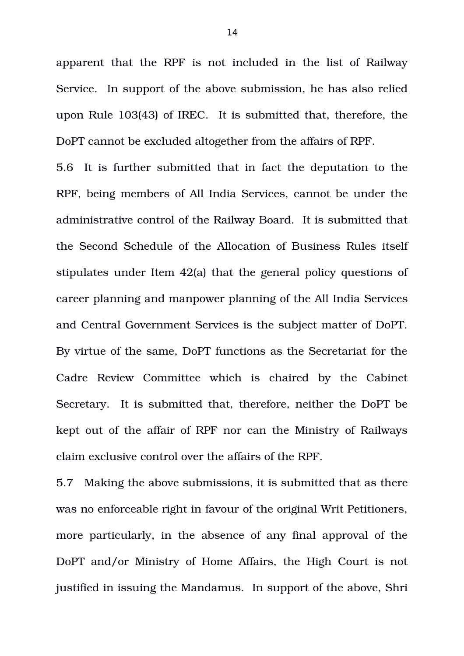apparent that the RPF is not included in the list of Railway Service. In support of the above submission, he has also relied upon Rule 103(43) of IREC. It is submitted that, therefore, the DoPT cannot be excluded altogether from the affairs of RPF.

5.6 It is further submitted that in fact the deputation to the RPF, being members of All India Services, cannot be under the administrative control of the Railway Board. It is submitted that the Second Schedule of the Allocation of Business Rules itself stipulates under Item 42(a) that the general policy questions of career planning and manpower planning of the All India Services and Central Government Services is the subject matter of DoPT. By virtue of the same, DoPT functions as the Secretariat for the Cadre Review Committee which is chaired by the Cabinet Secretary. It is submitted that, therefore, neither the DoPT be kept out of the affair of RPF nor can the Ministry of Railways claim exclusive control over the affairs of the RPF.

5.7 Making the above submissions, it is submitted that as there was no enforceable right in favour of the original Writ Petitioners, more particularly, in the absence of any final approval of the DoPT and/or Ministry of Home Affairs, the High Court is not justified in issuing the Mandamus. In support of the above, Shri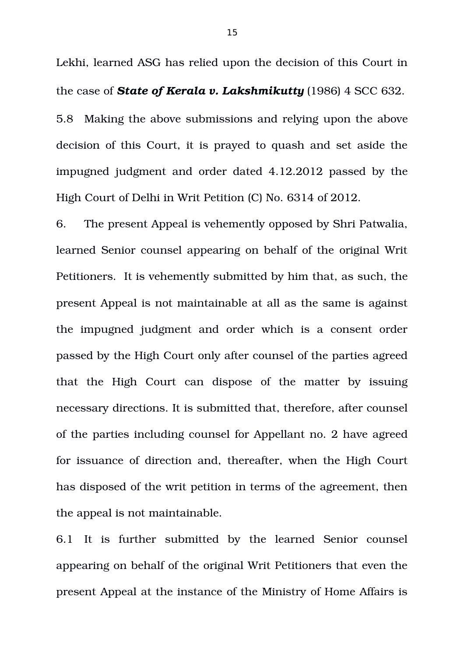Lekhi, learned ASG has relied upon the decision of this Court in the case of *State of Kerala v. Lakshmikutty* (1986) 4 SCC 632. 5.8 Making the above submissions and relying upon the above decision of this Court, it is prayed to quash and set aside the impugned judgment and order dated 4.12.2012 passed by the High Court of Delhi in Writ Petition (C) No. 6314 of 2012.

6. The present Appeal is vehemently opposed by Shri Patwalia, learned Senior counsel appearing on behalf of the original Writ Petitioners. It is vehemently submitted by him that, as such, the present Appeal is not maintainable at all as the same is against the impugned judgment and order which is a consent order passed by the High Court only after counsel of the parties agreed that the High Court can dispose of the matter by issuing necessary directions. It is submitted that, therefore, after counsel of the parties including counsel for Appellant no. 2 have agreed for issuance of direction and, thereafter, when the High Court has disposed of the writ petition in terms of the agreement, then the appeal is not maintainable.

6.1 It is further submitted by the learned Senior counsel appearing on behalf of the original Writ Petitioners that even the present Appeal at the instance of the Ministry of Home Affairs is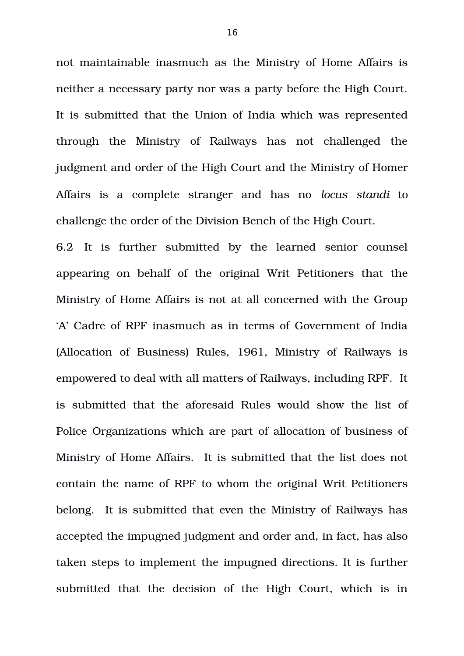not maintainable inasmuch as the Ministry of Home Affairs is neither a necessary party nor was a party before the High Court. It is submitted that the Union of India which was represented through the Ministry of Railways has not challenged the judgment and order of the High Court and the Ministry of Homer Affairs is a complete stranger and has no *locus standi* to challenge the order of the Division Bench of the High Court.

6.2 It is further submitted by the learned senior counsel appearing on behalf of the original Writ Petitioners that the Ministry of Home Affairs is not at all concerned with the Group 'A' Cadre of RPF inasmuch as in terms of Government of India (Allocation of Business) Rules, 1961, Ministry of Railways is empowered to deal with all matters of Railways, including RPF. It is submitted that the aforesaid Rules would show the list of Police Organizations which are part of allocation of business of Ministry of Home Affairs. It is submitted that the list does not contain the name of RPF to whom the original Writ Petitioners belong. It is submitted that even the Ministry of Railways has accepted the impugned judgment and order and, in fact, has also taken steps to implement the impugned directions. It is further submitted that the decision of the High Court, which is in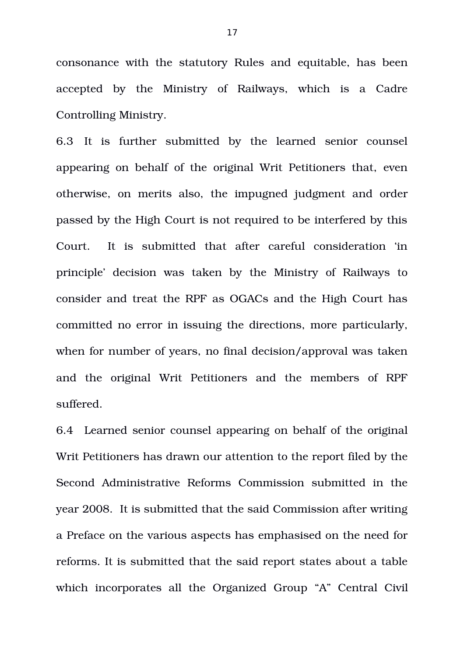consonance with the statutory Rules and equitable, has been accepted by the Ministry of Railways, which is a Cadre Controlling Ministry.

6.3 It is further submitted by the learned senior counsel appearing on behalf of the original Writ Petitioners that, even otherwise, on merits also, the impugned judgment and order passed by the High Court is not required to be interfered by this Court. It is submitted that after careful consideration 'in principle' decision was taken by the Ministry of Railways to consider and treat the RPF as OGACs and the High Court has committed no error in issuing the directions, more particularly, when for number of years, no final decision/approval was taken and the original Writ Petitioners and the members of RPF suffered.

6.4 Learned senior counsel appearing on behalf of the original Writ Petitioners has drawn our attention to the report filed by the Second Administrative Reforms Commission submitted in the year 2008. It is submitted that the said Commission after writing a Preface on the various aspects has emphasised on the need for reforms. It is submitted that the said report states about a table which incorporates all the Organized Group "A" Central Civil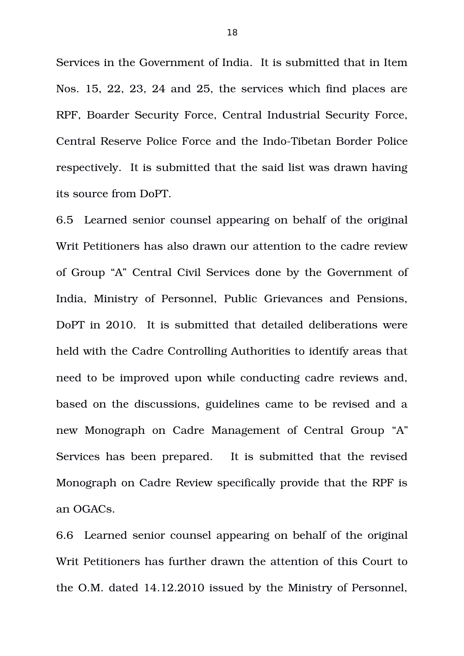Services in the Government of India. It is submitted that in Item Nos. 15, 22, 23, 24 and 25, the services which find places are RPF, Boarder Security Force, Central Industrial Security Force, Central Reserve Police Force and the Indo-Tibetan Border Police respectively. It is submitted that the said list was drawn having its source from DoPT.

6.5 Learned senior counsel appearing on behalf of the original Writ Petitioners has also drawn our attention to the cadre review of Group "A" Central Civil Services done by the Government of India, Ministry of Personnel, Public Grievances and Pensions, DoPT in 2010. It is submitted that detailed deliberations were held with the Cadre Controlling Authorities to identify areas that need to be improved upon while conducting cadre reviews and, based on the discussions, guidelines came to be revised and a new Monograph on Cadre Management of Central Group "A" Services has been prepared. It is submitted that the revised Monograph on Cadre Review specifically provide that the RPF is an OGACs.

6.6 Learned senior counsel appearing on behalf of the original Writ Petitioners has further drawn the attention of this Court to the O.M. dated 14.12.2010 issued by the Ministry of Personnel,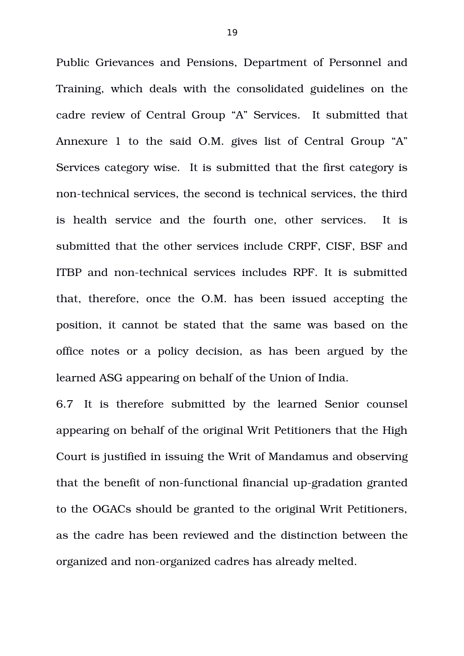Public Grievances and Pensions, Department of Personnel and Training, which deals with the consolidated guidelines on the cadre review of Central Group "A" Services. It submitted that Annexure 1 to the said O.M. gives list of Central Group "A" Services category wise. It is submitted that the first category is non-technical services, the second is technical services, the third is health service and the fourth one, other services. It is submitted that the other services include CRPF, CISF, BSF and ITBP and non-technical services includes RPF. It is submitted that, therefore, once the O.M. has been issued accepting the position, it cannot be stated that the same was based on the office notes or a policy decision, as has been argued by the learned ASG appearing on behalf of the Union of India.

6.7 It is therefore submitted by the learned Senior counsel appearing on behalf of the original Writ Petitioners that the High Court is justified in issuing the Writ of Mandamus and observing that the benefit of non-functional financial up-gradation granted to the OGACs should be granted to the original Writ Petitioners, as the cadre has been reviewed and the distinction between the organized and non-organized cadres has already melted.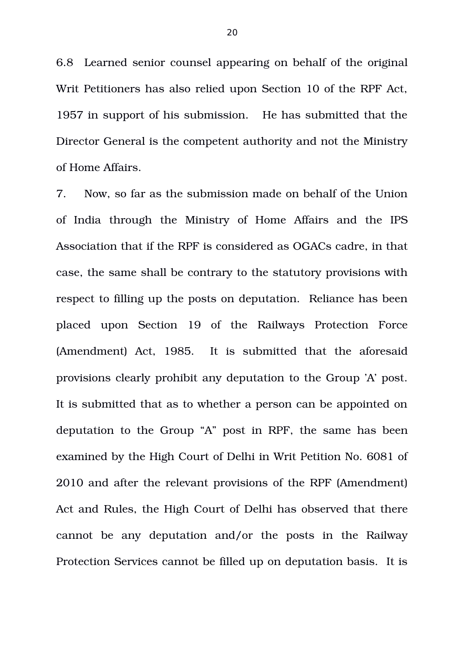6.8 Learned senior counsel appearing on behalf of the original Writ Petitioners has also relied upon Section 10 of the RPF Act, 1957 in support of his submission. He has submitted that the Director General is the competent authority and not the Ministry of Home Affairs.

7. Now, so far as the submission made on behalf of the Union of India through the Ministry of Home Affairs and the IPS Association that if the RPF is considered as OGACs cadre, in that case, the same shall be contrary to the statutory provisions with respect to filling up the posts on deputation. Reliance has been placed upon Section 19 of the Railways Protection Force (Amendment) Act, 1985. It is submitted that the aforesaid provisions clearly prohibit any deputation to the Group 'A' post. It is submitted that as to whether a person can be appointed on deputation to the Group "A" post in RPF, the same has been examined by the High Court of Delhi in Writ Petition No. 6081 of 2010 and after the relevant provisions of the RPF (Amendment) Act and Rules, the High Court of Delhi has observed that there cannot be any deputation and/or the posts in the Railway Protection Services cannot be filled up on deputation basis. It is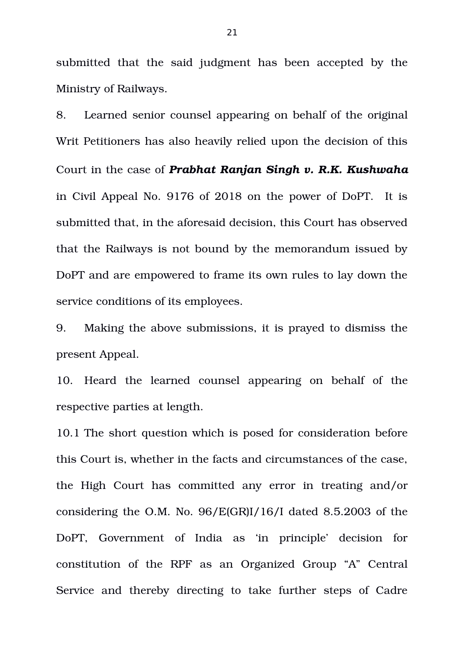submitted that the said judgment has been accepted by the Ministry of Railways.

8. Learned senior counsel appearing on behalf of the original Writ Petitioners has also heavily relied upon the decision of this Court in the case of *Prabhat Ranjan Singh v. R.K. Kushwaha* in Civil Appeal No. 9176 of 2018 on the power of DoPT. It is submitted that, in the aforesaid decision, this Court has observed that the Railways is not bound by the memorandum issued by DoPT and are empowered to frame its own rules to lay down the service conditions of its employees.

9. Making the above submissions, it is prayed to dismiss the present Appeal.

10. Heard the learned counsel appearing on behalf of the respective parties at length.

10.1 The short question which is posed for consideration before this Court is, whether in the facts and circumstances of the case, the High Court has committed any error in treating and/or considering the O.M. No. 96/E(GR)I/16/I dated 8.5.2003 of the DoPT, Government of India as 'in principle' decision for constitution of the RPF as an Organized Group "A" Central Service and thereby directing to take further steps of Cadre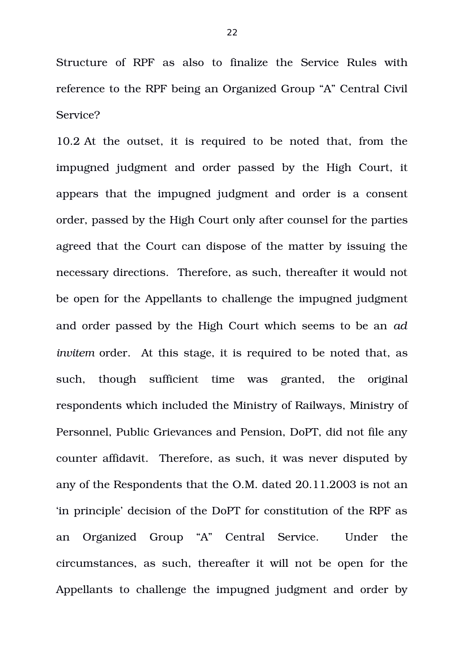Structure of RPF as also to finalize the Service Rules with reference to the RPF being an Organized Group "A" Central Civil Service?

10.2 At the outset, it is required to be noted that, from the impugned judgment and order passed by the High Court, it appears that the impugned judgment and order is a consent order, passed by the High Court only after counsel for the parties agreed that the Court can dispose of the matter by issuing the necessary directions. Therefore, as such, thereafter it would not be open for the Appellants to challenge the impugned judgment and order passed by the High Court which seems to be an *ad invitem order.* At this stage, it is required to be noted that, as such, though sufficient time was granted, the original respondents which included the Ministry of Railways, Ministry of Personnel, Public Grievances and Pension, DoPT, did not file any counter affidavit. Therefore, as such, it was never disputed by any of the Respondents that the O.M. dated 20.11.2003 is not an 'in principle' decision of the DoPT for constitution of the RPF as an Organized Group "A" Central Service. Under the circumstances, as such, thereafter it will not be open for the Appellants to challenge the impugned judgment and order by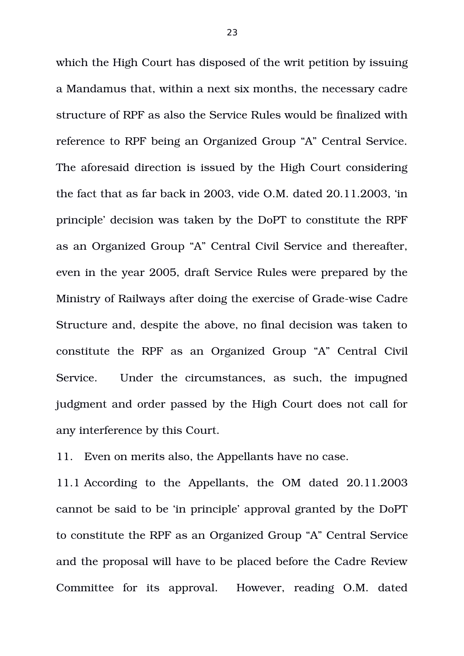which the High Court has disposed of the writ petition by issuing a Mandamus that, within a next six months, the necessary cadre structure of RPF as also the Service Rules would be finalized with reference to RPF being an Organized Group "A" Central Service. The aforesaid direction is issued by the High Court considering the fact that as far back in 2003, vide O.M. dated 20.11.2003, 'in principle' decision was taken by the DoPT to constitute the RPF as an Organized Group "A" Central Civil Service and thereafter, even in the year 2005, draft Service Rules were prepared by the Ministry of Railways after doing the exercise of Grade-wise Cadre Structure and, despite the above, no final decision was taken to constitute the RPF as an Organized Group "A" Central Civil Service. Under the circumstances, as such, the impugned judgment and order passed by the High Court does not call for any interference by this Court.

11. Even on merits also, the Appellants have no case.

11.1 According to the Appellants, the OM dated 20.11.2003 cannot be said to be 'in principle' approval granted by the DoPT to constitute the RPF as an Organized Group "A" Central Service and the proposal will have to be placed before the Cadre Review Committee for its approval. However, reading O.M. dated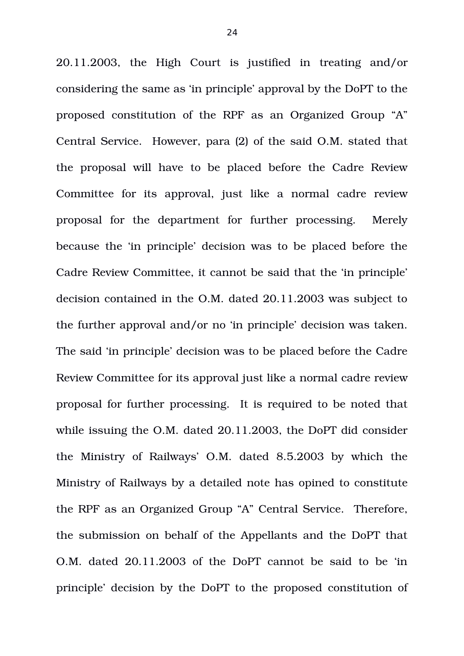20.11.2003, the High Court is justified in treating and/or considering the same as 'in principle' approval by the DoPT to the proposed constitution of the RPF as an Organized Group "A" Central Service. However, para (2) of the said O.M. stated that the proposal will have to be placed before the Cadre Review Committee for its approval, just like a normal cadre review proposal for the department for further processing. Merely because the 'in principle' decision was to be placed before the Cadre Review Committee, it cannot be said that the 'in principle' decision contained in the O.M. dated 20.11.2003 was subject to the further approval and/or no 'in principle' decision was taken. The said 'in principle' decision was to be placed before the Cadre Review Committee for its approval just like a normal cadre review proposal for further processing. It is required to be noted that while issuing the O.M. dated 20.11.2003, the DoPT did consider the Ministry of Railways' O.M. dated  $8.5.2003$  by which the Ministry of Railways by a detailed note has opined to constitute the RPF as an Organized Group "A" Central Service. Therefore, the submission on behalf of the Appellants and the DoPT that O.M. dated 20.11.2003 of the DoPT cannot be said to be 'in principle' decision by the DoPT to the proposed constitution of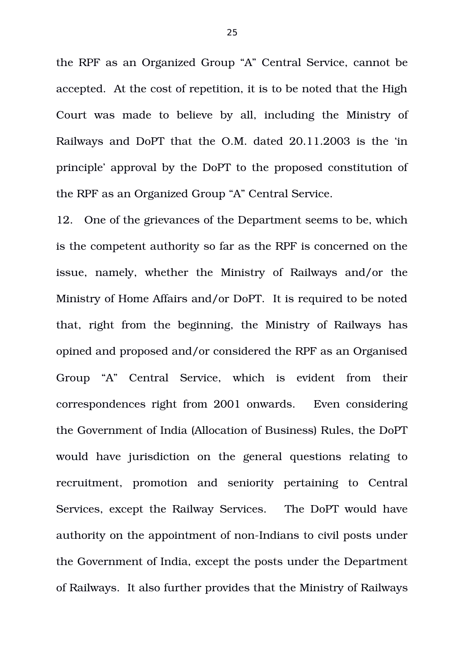the RPF as an Organized Group "A" Central Service, cannot be accepted. At the cost of repetition, it is to be noted that the High Court was made to believe by all, including the Ministry of Railways and DoPT that the O.M. dated 20.11.2003 is the 'in principle' approval by the DoPT to the proposed constitution of the RPF as an Organized Group "A" Central Service.

12. One of the grievances of the Department seems to be, which is the competent authority so far as the RPF is concerned on the issue, namely, whether the Ministry of Railways and/or the Ministry of Home Affairs and/or DoPT. It is required to be noted that, right from the beginning, the Ministry of Railways has opined and proposed and/or considered the RPF as an Organised Group "A" Central Service, which is evident from their correspondences right from 2001 onwards. Even considering the Government of India (Allocation of Business) Rules, the DoPT would have jurisdiction on the general questions relating to recruitment, promotion and seniority pertaining to Central Services, except the Railway Services. The DoPT would have authority on the appointment of non-Indians to civil posts under the Government of India, except the posts under the Department of Railways. It also further provides that the Ministry of Railways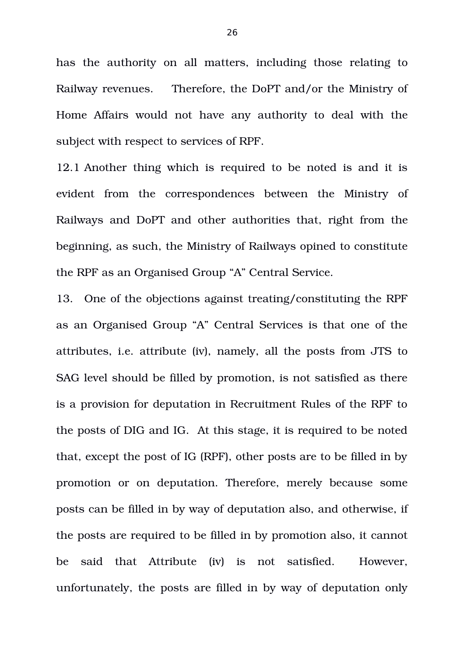has the authority on all matters, including those relating to Railway revenues. Therefore, the DoPT and/or the Ministry of Home Affairs would not have any authority to deal with the subject with respect to services of RPF.

12.1 Another thing which is required to be noted is and it is evident from the correspondences between the Ministry of Railways and DoPT and other authorities that, right from the beginning, as such, the Ministry of Railways opined to constitute the RPF as an Organised Group "A" Central Service.

13. One of the objections against treating/constituting the RPF as an Organised Group "A" Central Services is that one of the attributes, i.e. attribute (iv), namely, all the posts from JTS to SAG level should be filled by promotion, is not satisfied as there is a provision for deputation in Recruitment Rules of the RPF to the posts of DIG and IG. At this stage, it is required to be noted that, except the post of IG (RPF), other posts are to be filled in by promotion or on deputation. Therefore, merely because some posts can be filled in by way of deputation also, and otherwise, if the posts are required to be filled in by promotion also, it cannot be said that Attribute (iv) is not satisfied. However, unfortunately, the posts are filled in by way of deputation only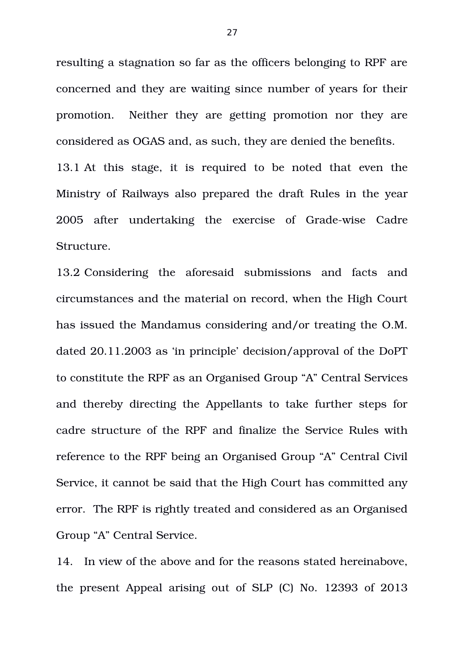resulting a stagnation so far as the officers belonging to RPF are concerned and they are waiting since number of years for their promotion. Neither they are getting promotion nor they are considered as OGAS and, as such, they are denied the benefits.

13.1 At this stage, it is required to be noted that even the Ministry of Railways also prepared the draft Rules in the year 2005 after undertaking the exercise of Grade-wise Cadre Structure.

13.2 Considering the aforesaid submissions and facts and circumstances and the material on record, when the High Court has issued the Mandamus considering and/or treating the O.M. dated 20.11.2003 as 'in principle' decision/approval of the DoPT to constitute the RPF as an Organised Group "A" Central Services and thereby directing the Appellants to take further steps for cadre structure of the RPF and finalize the Service Rules with reference to the RPF being an Organised Group "A" Central Civil Service, it cannot be said that the High Court has committed any error. The RPF is rightly treated and considered as an Organised Group "A" Central Service.

14. In view of the above and for the reasons stated hereinabove, the present Appeal arising out of SLP (C) No. 12393 of 2013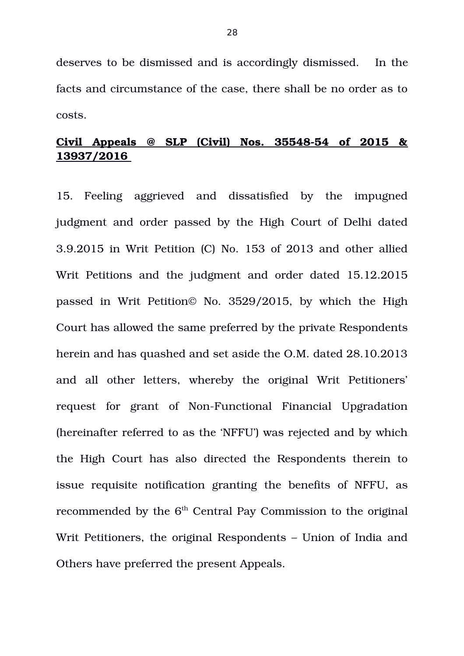deserves to be dismissed and is accordingly dismissed. In the facts and circumstance of the case, there shall be no order as to costs.

# **Civil Appeals @ SLP (Civil) Nos. 3554854 of 2015 & 13937/2016**

15. Feeling aggrieved and dissatisfied by the impugned judgment and order passed by the High Court of Delhi dated 3.9.2015 in Writ Petition (C) No. 153 of 2013 and other allied Writ Petitions and the judgment and order dated 15.12.2015 passed in Writ Petition© No. 3529/2015, by which the High Court has allowed the same preferred by the private Respondents herein and has quashed and set aside the O.M. dated 28.10.2013 and all other letters, whereby the original Writ Petitioners' request for grant of Non-Functional Financial Upgradation (hereinafter referred to as the 'NFFU') was rejected and by which the High Court has also directed the Respondents therein to issue requisite notification granting the benefits of NFFU, as recommended by the  $6<sup>th</sup>$  Central Pay Commission to the original Writ Petitioners, the original Respondents – Union of India and Others have preferred the present Appeals.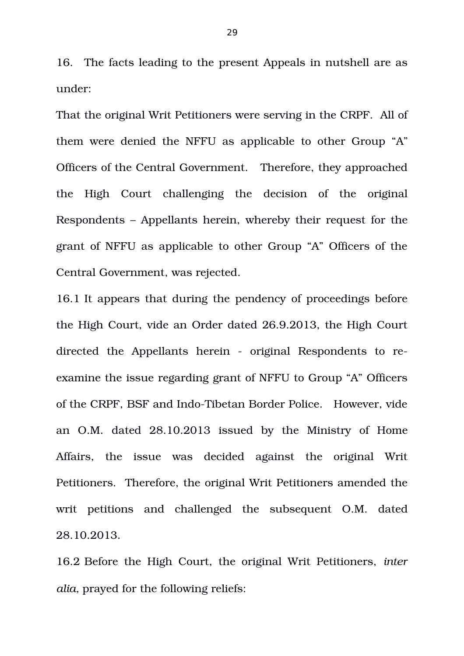16. The facts leading to the present Appeals in nutshell are as under:

That the original Writ Petitioners were serving in the CRPF. All of them were denied the NFFU as applicable to other Group "A" Officers of the Central Government. Therefore, they approached the High Court challenging the decision of the original Respondents – Appellants herein, whereby their request for the grant of NFFU as applicable to other Group "A" Officers of the Central Government, was rejected.

16.1 It appears that during the pendency of proceedings before the High Court, vide an Order dated 26.9.2013, the High Court directed the Appellants herein - original Respondents to reexamine the issue regarding grant of NFFU to Group "A" Officers of the CRPF, BSF and Indo-Tibetan Border Police. However, vide an O.M. dated 28.10.2013 issued by the Ministry of Home Affairs, the issue was decided against the original Writ Petitioners. Therefore, the original Writ Petitioners amended the writ petitions and challenged the subsequent O.M. dated 28.10.2013.

16.2 Before the High Court, the original Writ Petitioners, *inter alia,* prayed for the following reliefs: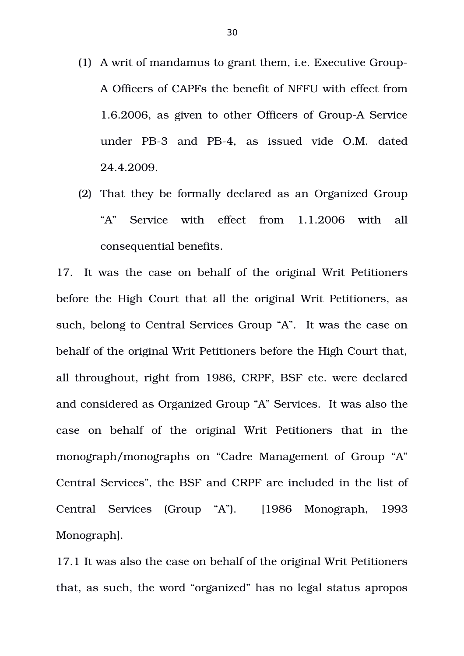- (1) A writ of mandamus to grant them, i.e. Executive Group-A Officers of CAPFs the benefit of NFFU with effect from 1.6.2006, as given to other Officers of Group-A Service under PB-3 and PB-4, as issued vide O.M. dated 24.4.2009.
- (2) That they be formally declared as an Organized Group "A" Service with effect from 1.1.2006 with all consequential benefits.

17. It was the case on behalf of the original Writ Petitioners before the High Court that all the original Writ Petitioners, as such, belong to Central Services Group "A". It was the case on behalf of the original Writ Petitioners before the High Court that, all throughout, right from 1986, CRPF, BSF etc. were declared and considered as Organized Group "A" Services. It was also the case on behalf of the original Writ Petitioners that in the monograph/monographs on "Cadre Management of Group "A" Central Services", the BSF and CRPF are included in the list of Central Services (Group "A"). [1986 Monograph, 1993 Monograph].

17.1 It was also the case on behalf of the original Writ Petitioners that, as such, the word "organized" has no legal status apropos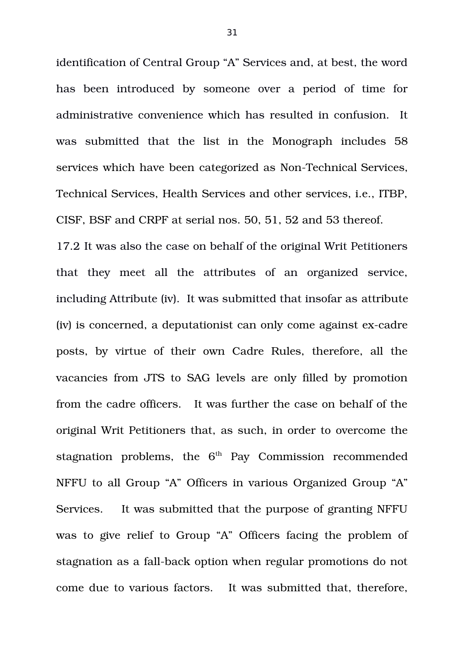identification of Central Group "A" Services and, at best, the word has been introduced by someone over a period of time for administrative convenience which has resulted in confusion. It was submitted that the list in the Monograph includes 58 services which have been categorized as Non-Technical Services. Technical Services, Health Services and other services, i.e., ITBP, CISF, BSF and CRPF at serial nos. 50, 51, 52 and 53 thereof.

17.2 It was also the case on behalf of the original Writ Petitioners that they meet all the attributes of an organized service, including Attribute (iv). It was submitted that insofar as attribute (iv) is concerned, a deputationist can only come against ex-cadre posts, by virtue of their own Cadre Rules, therefore, all the vacancies from JTS to SAG levels are only filled by promotion from the cadre officers. It was further the case on behalf of the original Writ Petitioners that, as such, in order to overcome the stagnation problems, the  $6<sup>th</sup>$  Pay Commission recommended NFFU to all Group "A" Officers in various Organized Group "A" Services. It was submitted that the purpose of granting NFFU was to give relief to Group "A" Officers facing the problem of stagnation as a fall-back option when regular promotions do not come due to various factors. It was submitted that, therefore,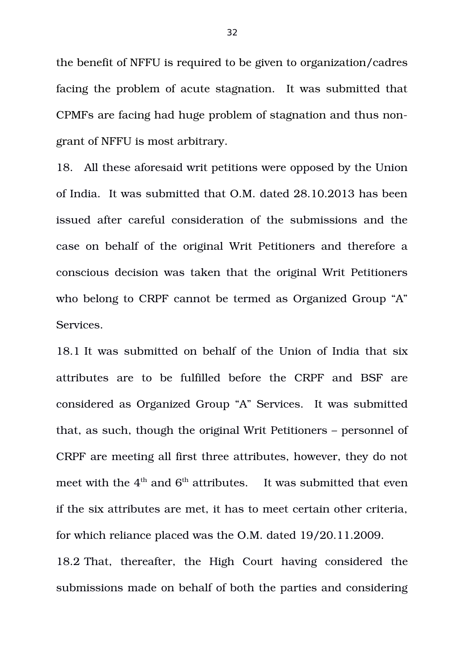the benefit of NFFU is required to be given to organization/cadres facing the problem of acute stagnation. It was submitted that CPMFs are facing had huge problem of stagnation and thus nongrant of NFFU is most arbitrary.

18. All these aforesaid writ petitions were opposed by the Union of India. It was submitted that O.M. dated 28.10.2013 has been issued after careful consideration of the submissions and the case on behalf of the original Writ Petitioners and therefore a conscious decision was taken that the original Writ Petitioners who belong to CRPF cannot be termed as Organized Group "A" Services.

18.1 It was submitted on behalf of the Union of India that six attributes are to be fulfilled before the CRPF and BSF are considered as Organized Group "A" Services. It was submitted that, as such, though the original Writ Petitioners – personnel of CRPF are meeting all first three attributes, however, they do not meet with the  $4<sup>th</sup>$  and  $6<sup>th</sup>$  attributes. It was submitted that even if the six attributes are met, it has to meet certain other criteria, for which reliance placed was the O.M. dated 19/20.11.2009. 18.2 That, thereafter, the High Court having considered the submissions made on behalf of both the parties and considering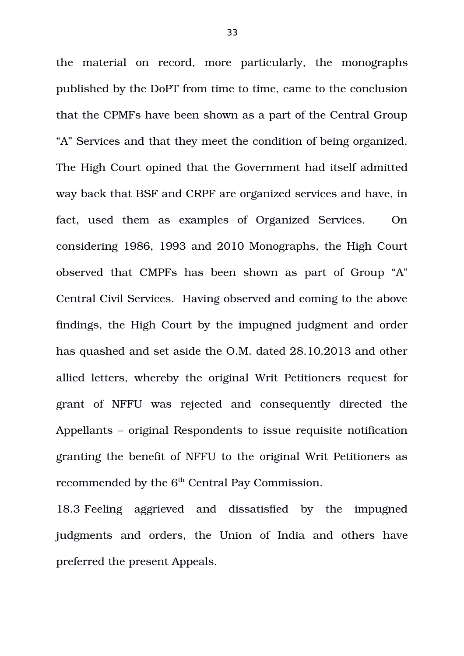the material on record, more particularly, the monographs published by the DoPT from time to time, came to the conclusion that the CPMFs have been shown as a part of the Central Group "A" Services and that they meet the condition of being organized. The High Court opined that the Government had itself admitted way back that BSF and CRPF are organized services and have, in fact, used them as examples of Organized Services. On considering 1986, 1993 and 2010 Monographs, the High Court observed that CMPFs has been shown as part of Group "A" Central Civil Services. Having observed and coming to the above findings, the High Court by the impugned judgment and order has quashed and set aside the O.M. dated 28.10.2013 and other allied letters, whereby the original Writ Petitioners request for grant of NFFU was rejected and consequently directed the Appellants – original Respondents to issue requisite notification granting the benefit of NFFU to the original Writ Petitioners as recommended by the 6<sup>th</sup> Central Pay Commission.

18.3 Feeling aggrieved and dissatisfied by the impugned judgments and orders, the Union of India and others have preferred the present Appeals.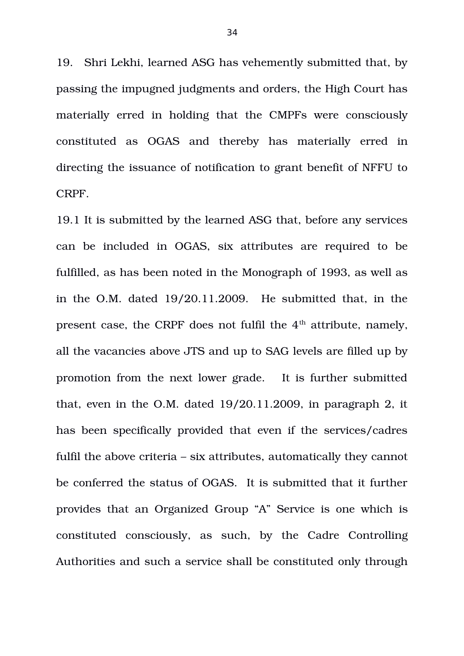19. Shri Lekhi, learned ASG has vehemently submitted that, by passing the impugned judgments and orders, the High Court has materially erred in holding that the CMPFs were consciously constituted as OGAS and thereby has materially erred in directing the issuance of notification to grant benefit of NFFU to CRPF.

19.1 It is submitted by the learned ASG that, before any services can be included in OGAS, six attributes are required to be fulfilled, as has been noted in the Monograph of 1993, as well as in the O.M. dated 19/20.11.2009. He submitted that, in the present case, the CRPF does not fulfil the  $4<sup>th</sup>$  attribute, namely, all the vacancies above JTS and up to SAG levels are filled up by promotion from the next lower grade. It is further submitted that, even in the O.M. dated 19/20.11.2009, in paragraph 2, it has been specifically provided that even if the services/cadres fulfil the above criteria – six attributes, automatically they cannot be conferred the status of OGAS. It is submitted that it further provides that an Organized Group "A" Service is one which is constituted consciously, as such, by the Cadre Controlling Authorities and such a service shall be constituted only through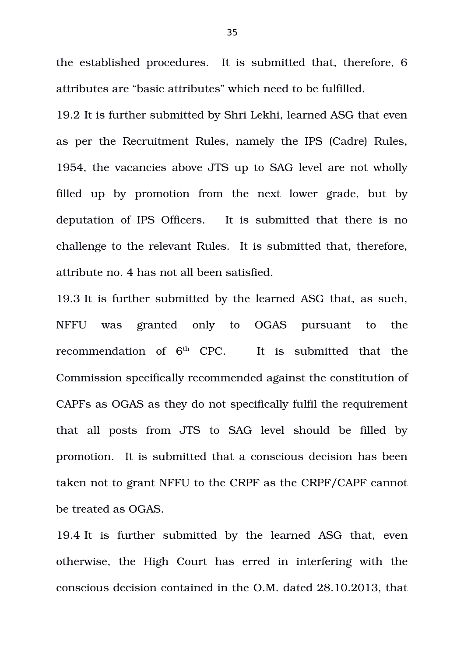the established procedures. It is submitted that, therefore, 6 attributes are "basic attributes" which need to be fulfilled.

19.2 It is further submitted by Shri Lekhi, learned ASG that even as per the Recruitment Rules, namely the IPS (Cadre) Rules, 1954, the vacancies above JTS up to SAG level are not wholly filled up by promotion from the next lower grade, but by deputation of IPS Officers. It is submitted that there is no challenge to the relevant Rules. It is submitted that, therefore, attribute no. 4 has not all been satisfied.

19.3 It is further submitted by the learned ASG that, as such, NFFU was granted only to OGAS pursuant to the recommendation of  $6<sup>th</sup>$  CPC. It is submitted that the Commission specifically recommended against the constitution of CAPFs as OGAS as they do not specifically fulfil the requirement that all posts from JTS to SAG level should be filled by promotion. It is submitted that a conscious decision has been taken not to grant NFFU to the CRPF as the CRPF/CAPF cannot be treated as OGAS.

19.4 It is further submitted by the learned ASG that, even otherwise, the High Court has erred in interfering with the conscious decision contained in the O.M. dated 28.10.2013, that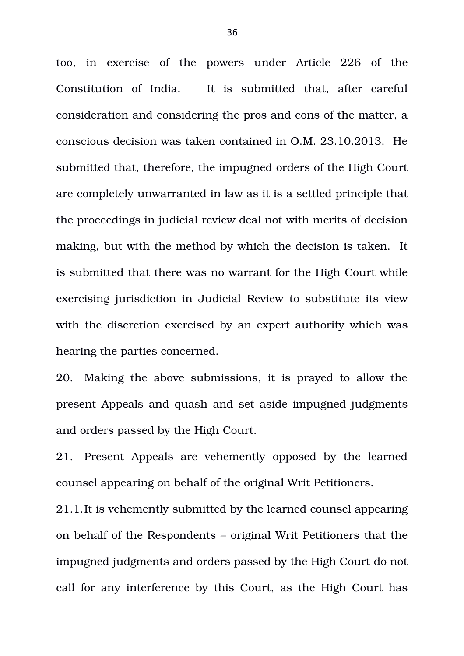too, in exercise of the powers under Article 226 of the Constitution of India. It is submitted that, after careful consideration and considering the pros and cons of the matter, a conscious decision was taken contained in O.M. 23.10.2013. He submitted that, therefore, the impugned orders of the High Court are completely unwarranted in law as it is a settled principle that the proceedings in judicial review deal not with merits of decision making, but with the method by which the decision is taken. It is submitted that there was no warrant for the High Court while exercising jurisdiction in Judicial Review to substitute its view with the discretion exercised by an expert authority which was hearing the parties concerned.

20. Making the above submissions, it is prayed to allow the present Appeals and quash and set aside impugned judgments and orders passed by the High Court.

21. Present Appeals are vehemently opposed by the learned counsel appearing on behalf of the original Writ Petitioners.

21.1.It is vehemently submitted by the learned counsel appearing on behalf of the Respondents – original Writ Petitioners that the impugned judgments and orders passed by the High Court do not call for any interference by this Court, as the High Court has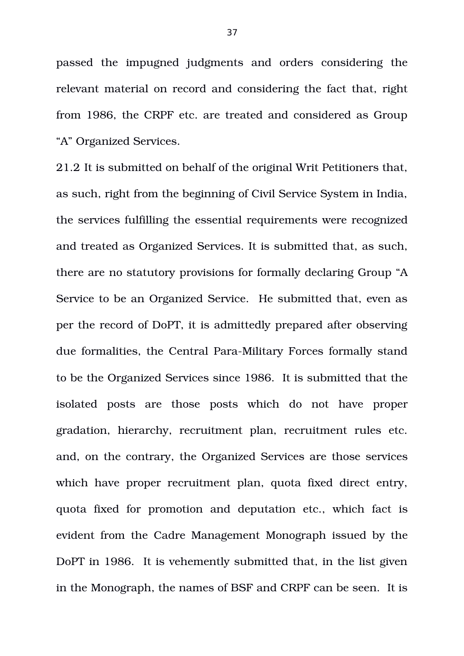passed the impugned judgments and orders considering the relevant material on record and considering the fact that, right from 1986, the CRPF etc. are treated and considered as Group "A" Organized Services.

21.2 It is submitted on behalf of the original Writ Petitioners that, as such, right from the beginning of Civil Service System in India, the services fulfilling the essential requirements were recognized and treated as Organized Services. It is submitted that, as such, there are no statutory provisions for formally declaring Group "A Service to be an Organized Service. He submitted that, even as per the record of DoPT, it is admittedly prepared after observing due formalities, the Central Para-Military Forces formally stand to be the Organized Services since 1986. It is submitted that the isolated posts are those posts which do not have proper gradation, hierarchy, recruitment plan, recruitment rules etc. and, on the contrary, the Organized Services are those services which have proper recruitment plan, quota fixed direct entry, quota fixed for promotion and deputation etc., which fact is evident from the Cadre Management Monograph issued by the DoPT in 1986. It is vehemently submitted that, in the list given in the Monograph, the names of BSF and CRPF can be seen. It is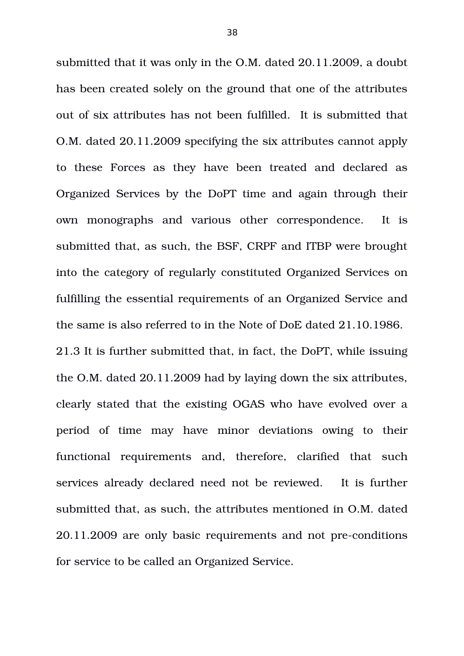submitted that it was only in the O.M. dated 20.11.2009, a doubt has been created solely on the ground that one of the attributes out of six attributes has not been fulfilled. It is submitted that O.M. dated 20.11.2009 specifying the six attributes cannot apply to these Forces as they have been treated and declared as Organized Services by the DoPT time and again through their own monographs and various other correspondence. It is submitted that, as such, the BSF, CRPF and ITBP were brought into the category of regularly constituted Organized Services on fulfilling the essential requirements of an Organized Service and the same is also referred to in the Note of DoE dated 21.10.1986. 21.3 It is further submitted that, in fact, the DoPT, while issuing the O.M. dated 20.11.2009 had by laying down the six attributes, clearly stated that the existing OGAS who have evolved over a period of time may have minor deviations owing to their functional requirements and, therefore, clarified that such services already declared need not be reviewed. It is further submitted that, as such, the attributes mentioned in O.M. dated 20.11.2009 are only basic requirements and not pre-conditions for service to be called an Organized Service.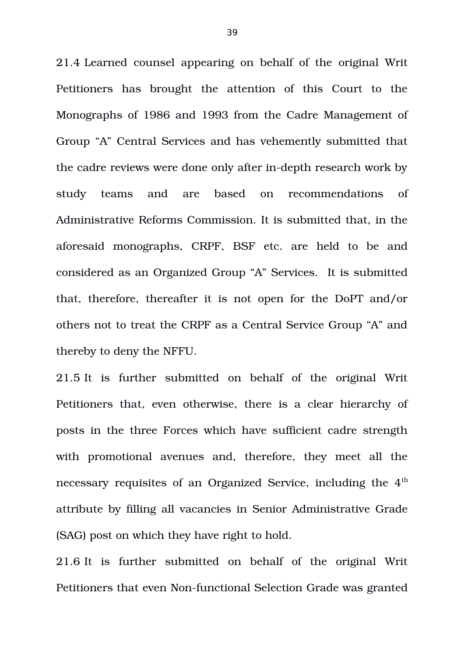21.4 Learned counsel appearing on behalf of the original Writ Petitioners has brought the attention of this Court to the Monographs of 1986 and 1993 from the Cadre Management of Group "A" Central Services and has vehemently submitted that the cadre reviews were done only after in-depth research work by study teams and are based on recommendations of Administrative Reforms Commission. It is submitted that, in the aforesaid monographs, CRPF, BSF etc. are held to be and considered as an Organized Group "A" Services. It is submitted that, therefore, thereafter it is not open for the DoPT and/or others not to treat the CRPF as a Central Service Group "A" and thereby to deny the NFFU.

21.5 It is further submitted on behalf of the original Writ Petitioners that, even otherwise, there is a clear hierarchy of posts in the three Forces which have sufficient cadre strength with promotional avenues and, therefore, they meet all the necessary requisites of an Organized Service, including the 4<sup>th</sup> attribute by filling all vacancies in Senior Administrative Grade (SAG) post on which they have right to hold.

21.6 It is further submitted on behalf of the original Writ Petitioners that even Non-functional Selection Grade was granted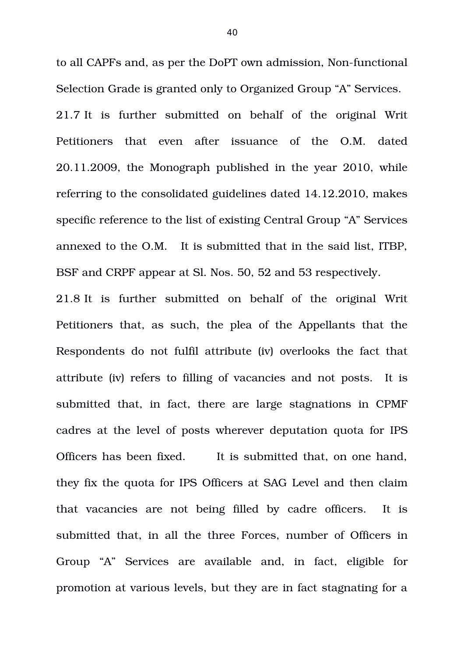to all CAPFs and, as per the DoPT own admission, Non-functional Selection Grade is granted only to Organized Group "A" Services.

21.7 It is further submitted on behalf of the original Writ Petitioners that even after issuance of the O.M. dated 20.11.2009, the Monograph published in the year 2010, while referring to the consolidated guidelines dated 14.12.2010, makes specific reference to the list of existing Central Group "A" Services annexed to the O.M. It is submitted that in the said list, ITBP, BSF and CRPF appear at Sl. Nos. 50, 52 and 53 respectively.

21.8 It is further submitted on behalf of the original Writ Petitioners that, as such, the plea of the Appellants that the Respondents do not fulfil attribute (iv) overlooks the fact that attribute (iv) refers to filling of vacancies and not posts. It is submitted that, in fact, there are large stagnations in CPMF cadres at the level of posts wherever deputation quota for IPS Officers has been fixed. It is submitted that, on one hand, they fix the quota for IPS Officers at SAG Level and then claim that vacancies are not being filled by cadre officers. It is submitted that, in all the three Forces, number of Officers in Group "A" Services are available and, in fact, eligible for promotion at various levels, but they are in fact stagnating for a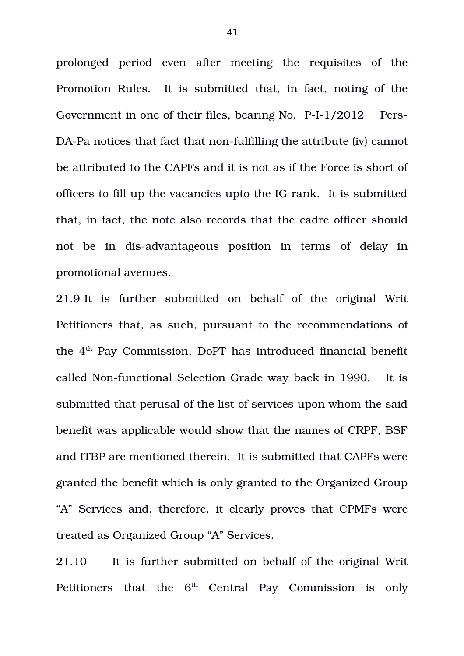prolonged period even after meeting the requisites of the Promotion Rules. It is submitted that, in fact, noting of the Government in one of their files, bearing No. P-I-1/2012 Pers-DA-Pa notices that fact that non-fulfilling the attribute (iv) cannot be attributed to the CAPFs and it is not as if the Force is short of officers to fill up the vacancies upto the IG rank. It is submitted that, in fact, the note also records that the cadre officer should not be in dis-advantageous position in terms of delay in promotional avenues.

21.9 It is further submitted on behalf of the original Writ Petitioners that, as such, pursuant to the recommendations of the  $4<sup>th</sup>$  Pay Commission, DoPT has introduced financial benefit called Non-functional Selection Grade way back in 1990. It is submitted that perusal of the list of services upon whom the said benefit was applicable would show that the names of CRPF, BSF and ITBP are mentioned therein. It is submitted that CAPFs were granted the benefit which is only granted to the Organized Group "A" Services and, therefore, it clearly proves that CPMFs were treated as Organized Group "A" Services.

21.10 It is further submitted on behalf of the original Writ Petitioners that the  $6<sup>th</sup>$  Central Pay Commission is only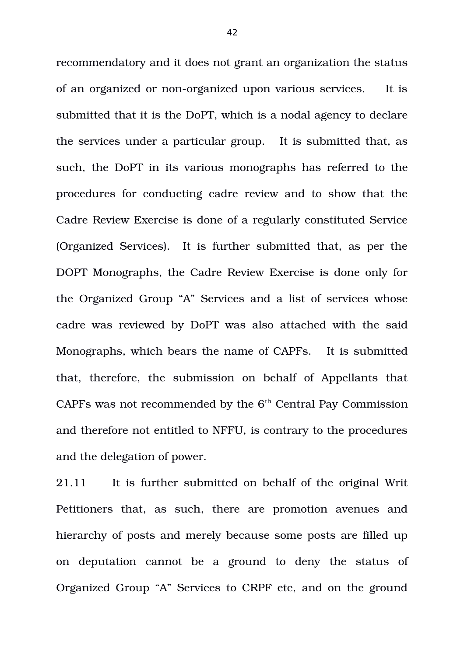recommendatory and it does not grant an organization the status of an organized or non-organized upon various services. It is submitted that it is the DoPT, which is a nodal agency to declare the services under a particular group. It is submitted that, as such, the DoPT in its various monographs has referred to the procedures for conducting cadre review and to show that the Cadre Review Exercise is done of a regularly constituted Service (Organized Services). It is further submitted that, as per the DOPT Monographs, the Cadre Review Exercise is done only for the Organized Group "A" Services and a list of services whose cadre was reviewed by DoPT was also attached with the said Monographs, which bears the name of CAPFs. It is submitted that, therefore, the submission on behalf of Appellants that CAPFs was not recommended by the  $6<sup>th</sup>$  Central Pay Commission and therefore not entitled to NFFU, is contrary to the procedures and the delegation of power.

21.11 It is further submitted on behalf of the original Writ Petitioners that, as such, there are promotion avenues and hierarchy of posts and merely because some posts are filled up on deputation cannot be a ground to deny the status of Organized Group "A" Services to CRPF etc, and on the ground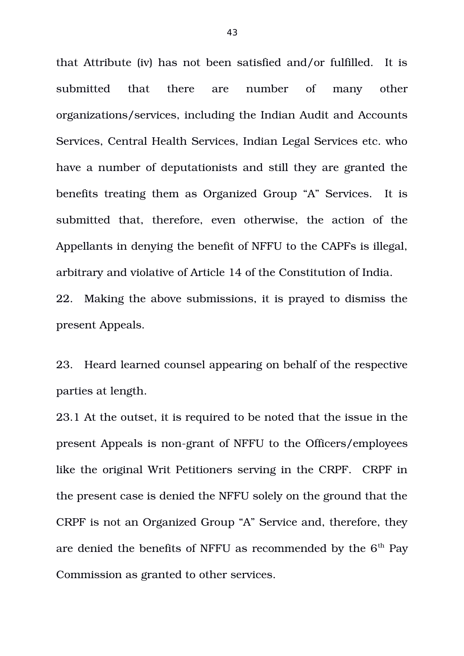that Attribute (iv) has not been satisfied and/or fulfilled. It is submitted that there are number of many other organizations/services, including the Indian Audit and Accounts Services, Central Health Services, Indian Legal Services etc. who have a number of deputationists and still they are granted the benefits treating them as Organized Group "A" Services. It is submitted that, therefore, even otherwise, the action of the Appellants in denying the benefit of NFFU to the CAPFs is illegal, arbitrary and violative of Article 14 of the Constitution of India. 22. Making the above submissions, it is prayed to dismiss the

present Appeals.

23. Heard learned counsel appearing on behalf of the respective parties at length.

23.1 At the outset, it is required to be noted that the issue in the present Appeals is non-grant of NFFU to the Officers/employees like the original Writ Petitioners serving in the CRPF. CRPF in the present case is denied the NFFU solely on the ground that the CRPF is not an Organized Group "A" Service and, therefore, they are denied the benefits of NFFU as recommended by the  $6<sup>th</sup>$  Pay Commission as granted to other services.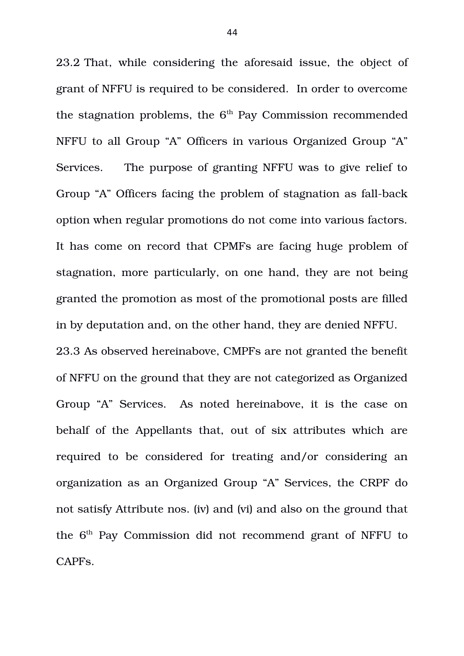23.2 That, while considering the aforesaid issue, the object of grant of NFFU is required to be considered. In order to overcome the stagnation problems, the  $6<sup>th</sup>$  Pay Commission recommended NFFU to all Group "A" Officers in various Organized Group "A" Services. The purpose of granting NFFU was to give relief to Group "A" Officers facing the problem of stagnation as fall-back option when regular promotions do not come into various factors. It has come on record that CPMFs are facing huge problem of stagnation, more particularly, on one hand, they are not being granted the promotion as most of the promotional posts are filled in by deputation and, on the other hand, they are denied NFFU. 23.3 As observed hereinabove, CMPFs are not granted the benefit of NFFU on the ground that they are not categorized as Organized Group "A" Services. As noted hereinabove, it is the case on behalf of the Appellants that, out of six attributes which are required to be considered for treating and/or considering an organization as an Organized Group "A" Services, the CRPF do not satisfy Attribute nos. (iv) and (vi) and also on the ground that the 6<sup>th</sup> Pay Commission did not recommend grant of NFFU to CAPFs.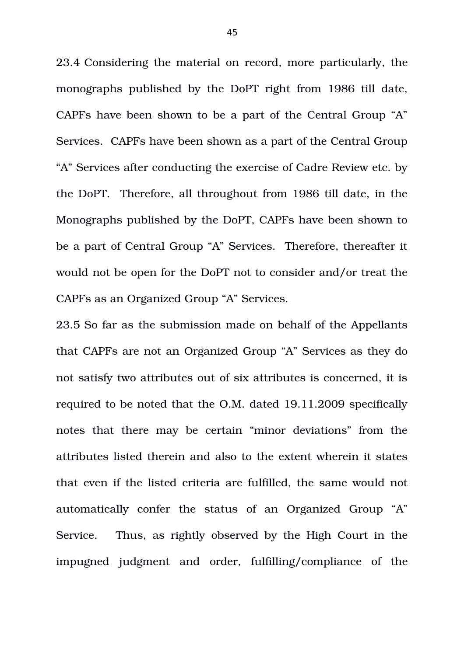23.4 Considering the material on record, more particularly, the monographs published by the DoPT right from 1986 till date, CAPFs have been shown to be a part of the Central Group "A" Services. CAPFs have been shown as a part of the Central Group "A" Services after conducting the exercise of Cadre Review etc. by the DoPT. Therefore, all throughout from 1986 till date, in the Monographs published by the DoPT, CAPFs have been shown to be a part of Central Group "A" Services. Therefore, thereafter it would not be open for the DoPT not to consider and/or treat the CAPFs as an Organized Group "A" Services.

23.5 So far as the submission made on behalf of the Appellants that CAPFs are not an Organized Group "A" Services as they do not satisfy two attributes out of six attributes is concerned, it is required to be noted that the O.M. dated 19.11.2009 specifically notes that there may be certain "minor deviations" from the attributes listed therein and also to the extent wherein it states that even if the listed criteria are fulfilled, the same would not automatically confer the status of an Organized Group "A" Service. Thus, as rightly observed by the High Court in the impugned judgment and order, fulfilling/compliance of the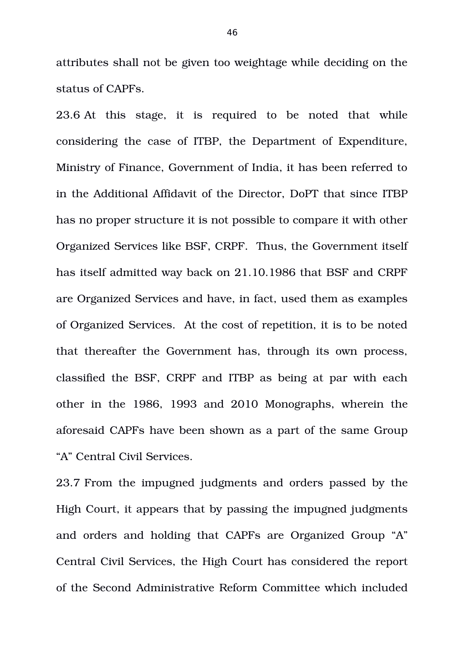attributes shall not be given too weightage while deciding on the status of CAPFs.

23.6 At this stage, it is required to be noted that while considering the case of ITBP, the Department of Expenditure, Ministry of Finance, Government of India, it has been referred to in the Additional Affidavit of the Director, DoPT that since ITBP has no proper structure it is not possible to compare it with other Organized Services like BSF, CRPF. Thus, the Government itself has itself admitted way back on 21.10.1986 that BSF and CRPF are Organized Services and have, in fact, used them as examples of Organized Services. At the cost of repetition, it is to be noted that thereafter the Government has, through its own process, classified the BSF, CRPF and ITBP as being at par with each other in the 1986, 1993 and 2010 Monographs, wherein the aforesaid CAPFs have been shown as a part of the same Group "A" Central Civil Services.

23.7 From the impugned judgments and orders passed by the High Court, it appears that by passing the impugned judgments and orders and holding that CAPFs are Organized Group "A" Central Civil Services, the High Court has considered the report of the Second Administrative Reform Committee which included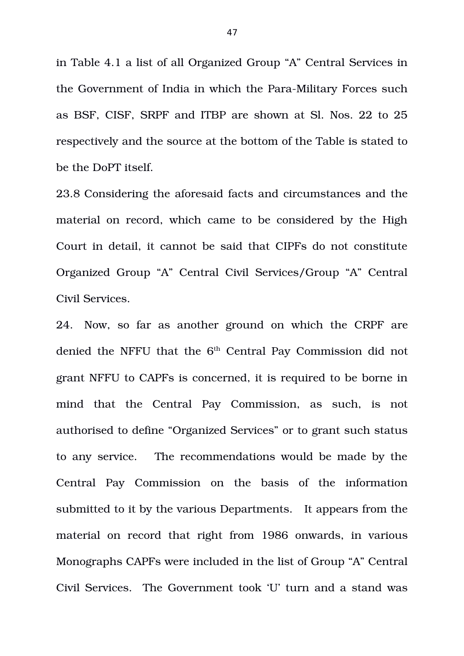in Table 4.1 a list of all Organized Group "A" Central Services in the Government of India in which the Para-Military Forces such as BSF, CISF, SRPF and ITBP are shown at Sl. Nos. 22 to 25 respectively and the source at the bottom of the Table is stated to be the DoPT itself.

23.8 Considering the aforesaid facts and circumstances and the material on record, which came to be considered by the High Court in detail, it cannot be said that CIPFs do not constitute Organized Group "A" Central Civil Services/Group "A" Central Civil Services.

24. Now, so far as another ground on which the CRPF are denied the NFFU that the  $6<sup>th</sup>$  Central Pay Commission did not grant NFFU to CAPFs is concerned, it is required to be borne in mind that the Central Pay Commission, as such, is not authorised to define "Organized Services" or to grant such status to any service. The recommendations would be made by the Central Pay Commission on the basis of the information submitted to it by the various Departments. It appears from the material on record that right from 1986 onwards, in various Monographs CAPFs were included in the list of Group "A" Central Civil Services. The Government took 'U' turn and a stand was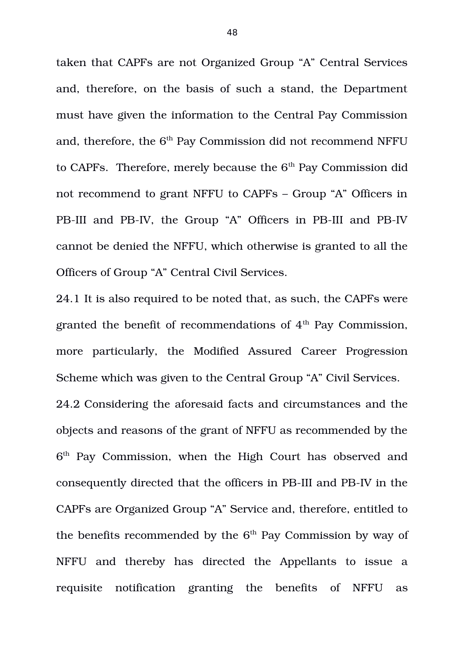taken that CAPFs are not Organized Group "A" Central Services and, therefore, on the basis of such a stand, the Department must have given the information to the Central Pay Commission and, therefore, the  $6<sup>th</sup>$  Pay Commission did not recommend NFFU to CAPFs. Therefore, merely because the  $6<sup>th</sup>$  Pay Commission did not recommend to grant NFFU to CAPFs – Group "A" Officers in PB-III and PB-IV, the Group "A" Officers in PB-III and PB-IV cannot be denied the NFFU, which otherwise is granted to all the Officers of Group "A" Central Civil Services.

24.1 It is also required to be noted that, as such, the CAPFs were granted the benefit of recommendations of  $4<sup>th</sup>$  Pay Commission, more particularly, the Modified Assured Career Progression Scheme which was given to the Central Group "A" Civil Services. 24.2 Considering the aforesaid facts and circumstances and the objects and reasons of the grant of NFFU as recommended by the 6 th Pay Commission, when the High Court has observed and consequently directed that the officers in PB-III and PB-IV in the CAPFs are Organized Group "A" Service and, therefore, entitled to the benefits recommended by the  $6<sup>th</sup>$  Pay Commission by way of NFFU and thereby has directed the Appellants to issue a requisite notification granting the benefits of NFFU as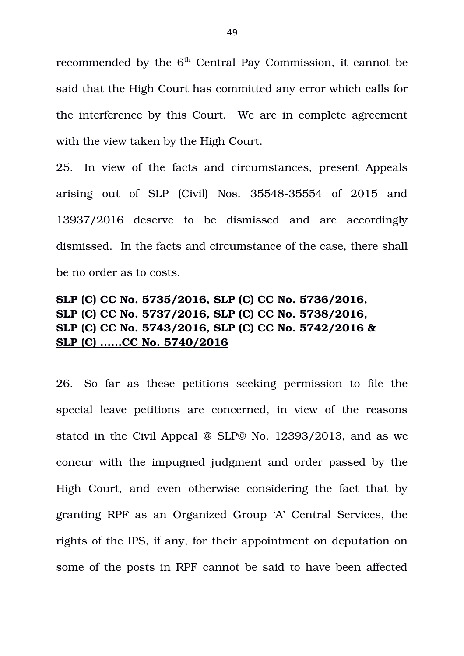recommended by the  $6<sup>th</sup>$  Central Pay Commission, it cannot be said that the High Court has committed any error which calls for the interference by this Court. We are in complete agreement with the view taken by the High Court.

25. In view of the facts and circumstances, present Appeals arising out of SLP (Civil) Nos. 35548-35554 of 2015 and 13937/2016 deserve to be dismissed and are accordingly dismissed. In the facts and circumstance of the case, there shall be no order as to costs.

# **SLP (C) CC No. 5735/2016, SLP (C) CC No. 5736/2016, SLP (C) CC No. 5737/2016, SLP (C) CC No. 5738/2016, SLP (C) CC No. 5743/2016, SLP (C) CC No. 5742/2016 & SLP (C) ……CC No. 5740/2016**

26. So far as these petitions seeking permission to file the special leave petitions are concerned, in view of the reasons stated in the Civil Appeal @ SLP© No. 12393/2013, and as we concur with the impugned judgment and order passed by the High Court, and even otherwise considering the fact that by granting RPF as an Organized Group 'A' Central Services, the rights of the IPS, if any, for their appointment on deputation on some of the posts in RPF cannot be said to have been affected